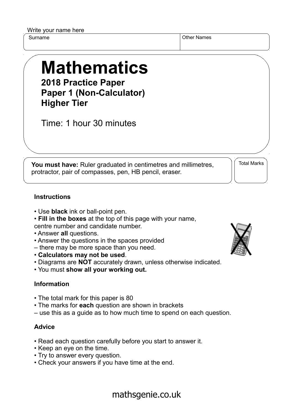Write your name here

Surname **Other Names** Other Names

## **Mathematics 2018 Practice Paper**

**Paper 1 (Non-Calculator) Higher Tier**

Time: 1 hour 30 minutes

**You must have:** Ruler graduated in centimetres and millimetres, protractor, pair of compasses, pen, HB pencil, eraser.

Total Marks

## **Instructions**

- Use **black** ink or ball-point pen.
- **Fill in the boxes** at the top of this page with your name, centre number and candidate number.
- Answer **all** questions.
- Answer the questions in the spaces provided
- there may be more space than you need.
- **Calculators may not be used**.
- Diagrams are **NOT** accurately drawn, unless otherwise indicated.
- You must **show all your working out.**

## **Information**

- The total mark for this paper is 80
- The marks for **each** question are shown in brackets
- use this as a guide as to how much time to spend on each question.

## **Advice**

- Read each question carefully before you start to answer it.
- Keep an eye on the time.
- Try to answer every question.
- Check your answers if you have time at the end.



mathsgenie.co.uk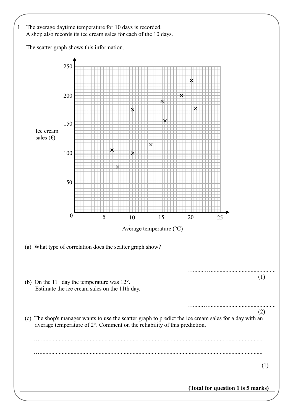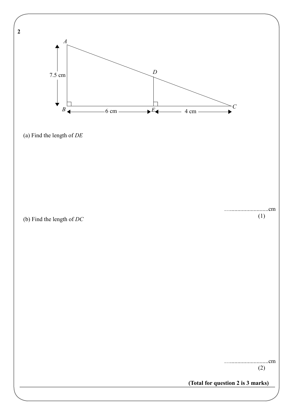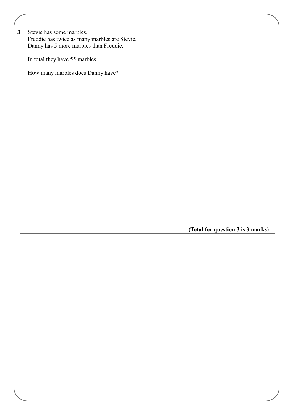**3** Stevie has some marbles. Freddie has twice as many marbles are Stevie. Danny has 5 more marbles than Freddie.

In total they have 55 marbles.

How many marbles does Danny have?

…..........................

**(Total for question 3 is 3 marks)**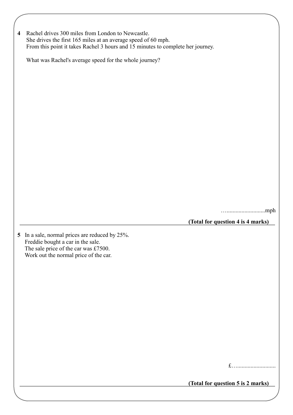| 4 Rachel drives 300 miles from London to Newcastle.                             |
|---------------------------------------------------------------------------------|
| She drives the first 165 miles at an average speed of 60 mph.                   |
| From this point it takes Rachel 3 hours and 15 minutes to complete her journey. |

What was Rachel's average speed for the whole journey?

…..........................mph

**(Total for question 4 is 4 marks)**

**5** In a sale, normal prices are reduced by 25%. Freddie bought a car in the sale. The sale price of the car was £7500. Work out the normal price of the car.

|--|--|--|--|--|--|

**(Total for question 5 is 2 marks)**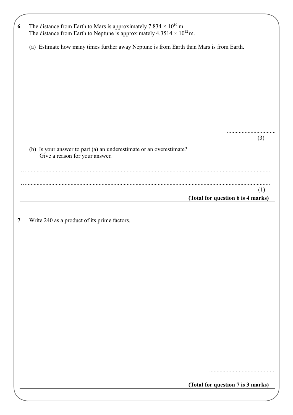| The distance from Earth to Mars is approximately 7.834 $\times$ 10 <sup>10</sup> m.<br>The distance from Earth to Neptune is approximately $4.3514 \times 10^{12}$ m. |     |  |  |  |  |
|-----------------------------------------------------------------------------------------------------------------------------------------------------------------------|-----|--|--|--|--|
| (a) Estimate how many times further away Neptune is from Earth than Mars is from Earth.                                                                               |     |  |  |  |  |
|                                                                                                                                                                       |     |  |  |  |  |
|                                                                                                                                                                       |     |  |  |  |  |
|                                                                                                                                                                       |     |  |  |  |  |
|                                                                                                                                                                       |     |  |  |  |  |
|                                                                                                                                                                       |     |  |  |  |  |
| (b) Is your answer to part (a) an underestimate or an overestimate?                                                                                                   | (3) |  |  |  |  |
| Give a reason for your answer.                                                                                                                                        |     |  |  |  |  |
|                                                                                                                                                                       |     |  |  |  |  |
|                                                                                                                                                                       |     |  |  |  |  |
|                                                                                                                                                                       | (1) |  |  |  |  |
| (Total for question 6 is 4 marks)                                                                                                                                     |     |  |  |  |  |
|                                                                                                                                                                       |     |  |  |  |  |
| Write 240 as a product of its prime factors.                                                                                                                          |     |  |  |  |  |
|                                                                                                                                                                       |     |  |  |  |  |
|                                                                                                                                                                       |     |  |  |  |  |
|                                                                                                                                                                       |     |  |  |  |  |
|                                                                                                                                                                       |     |  |  |  |  |
|                                                                                                                                                                       |     |  |  |  |  |
|                                                                                                                                                                       |     |  |  |  |  |
|                                                                                                                                                                       |     |  |  |  |  |
|                                                                                                                                                                       |     |  |  |  |  |
|                                                                                                                                                                       |     |  |  |  |  |
|                                                                                                                                                                       |     |  |  |  |  |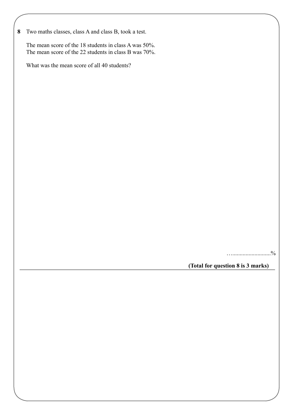**8** Two maths classes, class A and class B, took a test.

 The mean score of the 18 students in class A was 50%. The mean score of the 22 students in class B was 70%.

What was the mean score of all 40 students?

…..........................%

**(Total for question 8 is 3 marks)**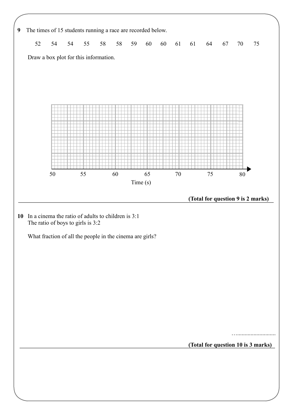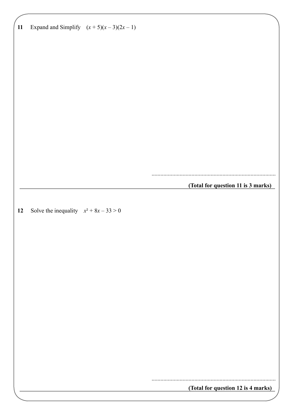**11** Expand and Simplify  $(x+5)(x-3)(2x-1)$ **(Total for question 11 is 3 marks)** .................................................................................... **12** Solve the inequality  $x^2 + 8x - 33 > 0$ **(Total for question 12 is 4 marks)** ....................................................................................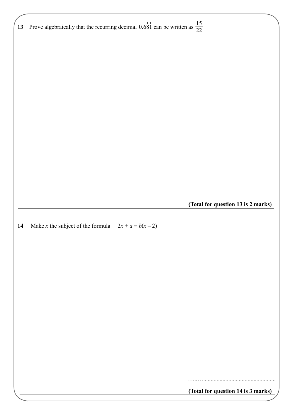|    | Prove algebraically that the recurring decimal 0.681 can be written as $\frac{15}{22}$<br>13 |                                    |
|----|----------------------------------------------------------------------------------------------|------------------------------------|
|    |                                                                                              |                                    |
|    |                                                                                              |                                    |
|    |                                                                                              |                                    |
|    |                                                                                              |                                    |
|    |                                                                                              |                                    |
|    |                                                                                              |                                    |
|    |                                                                                              |                                    |
|    |                                                                                              | (Total for question 13 is 2 marks) |
|    |                                                                                              |                                    |
|    |                                                                                              |                                    |
|    | Make x the subject of the formula $2x + a = b(x - 2)$                                        |                                    |
|    |                                                                                              |                                    |
|    |                                                                                              |                                    |
|    |                                                                                              |                                    |
|    |                                                                                              |                                    |
|    |                                                                                              |                                    |
| 14 |                                                                                              |                                    |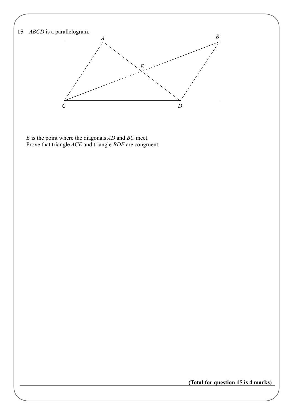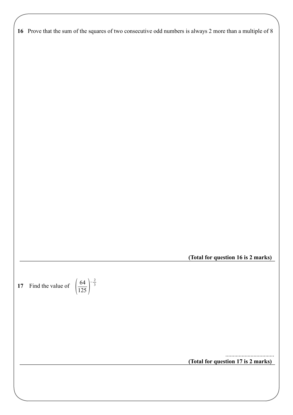| 16 Prove that the sum of the squares of two consecutive odd numbers is always 2 more than a multiple of 8 |  |  |  |  |
|-----------------------------------------------------------------------------------------------------------|--|--|--|--|
|                                                                                                           |  |  |  |  |

**(Total for question 16 is 2 marks)**

**17** Find the value of  $\begin{pmatrix} 1 \\ 1 \end{pmatrix}$ 64  $\frac{1}{125}$ 

 $-\frac{2}{3}$ 3

> **(Total for question 17 is 2 marks)** .................................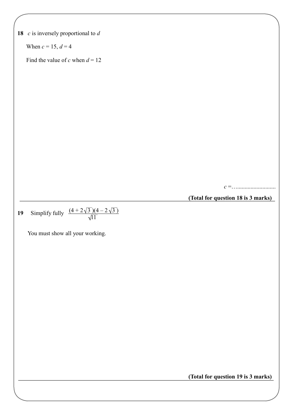**18** *c* is inversely proportional to *d* When  $c = 15$ ,  $d = 4$ Find the value of *c* when  $d = 12$ *c* =….......................... **(Total for question 18 is 3 marks) 19** Simplify fully  $\frac{(4 + 2\sqrt{3})(4 - 2\sqrt{3})}{\sqrt{3}}$ You must show all your working. **(Total for question 19 is 3 marks)** 11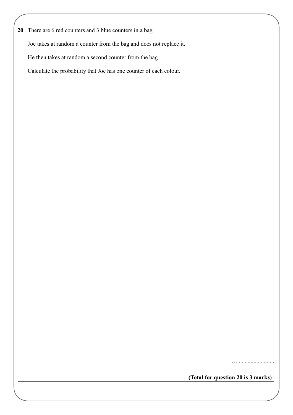**20** There are 6 red counters and 3 blue counters in a bag.

Joe takes at random a counter from the bag and does not replace it.

He then takes at random a second counter from the bag.

Calculate the probability that Joe has one counter of each colour.

…..........................

**(Total for question 20 is 3 marks)**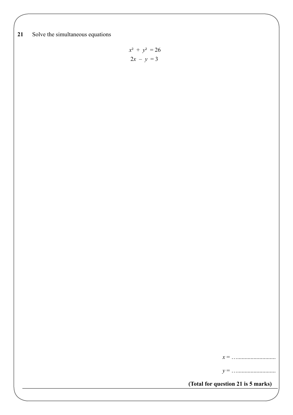**21** Solve the simultaneous equations

$$
x^2 + y^2 = 26
$$

$$
2x - y = 3
$$

*x* = …..........................

*y* = …..........................

**(Total for question 21 is 5 marks)**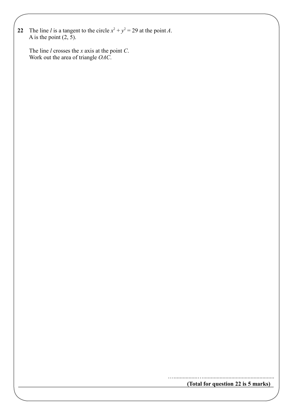**22** The line *l* is a tangent to the circle  $x^2 + y^2 = 29$  at the point *A*. A is the point  $(2, 5)$ .

 The line *l* crosses the *x* axis at the point *C*. Work out the area of triangle *OAC*.

**(Total for question 22 is 5 marks)**

…................…................................................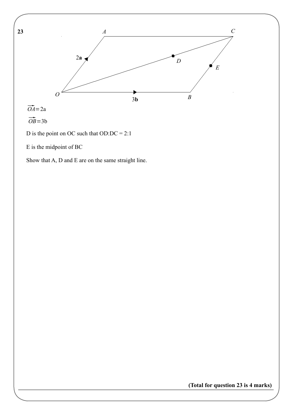

D is the point on OC such that OD:DC = 2:1

E is the midpoint of BC

Show that A, D and E are on the same straight line.

**(Total for question 23 is 4 marks)**